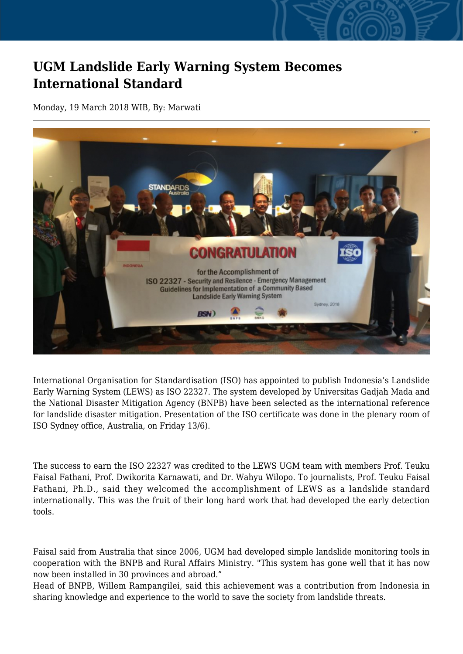## **UGM Landslide Early Warning System Becomes International Standard**

Monday, 19 March 2018 WIB, By: Marwati



International Organisation for Standardisation (ISO) has appointed to publish Indonesia's Landslide Early Warning System (LEWS) as ISO 22327. The system developed by Universitas Gadjah Mada and the National Disaster Mitigation Agency (BNPB) have been selected as the international reference for landslide disaster mitigation. Presentation of the ISO certificate was done in the plenary room of ISO Sydney office, Australia, on Friday 13/6).

The success to earn the ISO 22327 was credited to the LEWS UGM team with members Prof. Teuku Faisal Fathani, Prof. Dwikorita Karnawati, and Dr. Wahyu Wilopo. To journalists, Prof. Teuku Faisal Fathani, Ph.D., said they welcomed the accomplishment of LEWS as a landslide standard internationally. This was the fruit of their long hard work that had developed the early detection tools.

Faisal said from Australia that since 2006, UGM had developed simple landslide monitoring tools in cooperation with the BNPB and Rural Affairs Ministry. "This system has gone well that it has now now been installed in 30 provinces and abroad."

Head of BNPB, Willem Rampangilei, said this achievement was a contribution from Indonesia in sharing knowledge and experience to the world to save the society from landslide threats.